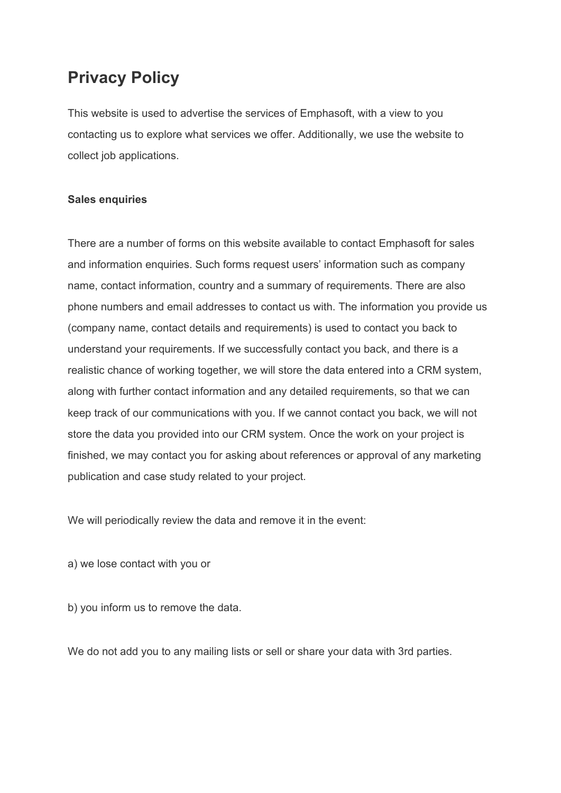## **Privacy Policy**

This website is used to advertise the services of Emphasoft, with a view to you contacting us to explore what services we offer. Additionally, we use the website to collect job applications.

## **Sales enquiries**

There are a number of forms on this website available to contact Emphasoft for sales and information enquiries. Such forms request users' information such as company name, contact information, country and a summary of requirements. There are also phone numbers and email addresses to contact us with. The information you provide us (company name, contact details and requirements) is used to contact you back to understand your requirements. If we successfully contact you back, and there is a realistic chance of working together, we will store the data entered into a CRM system, along with further contact information and any detailed requirements, so that we can keep track of our communications with you. If we cannot contact you back, we will not store the data you provided into our CRM system. Once the work on your project is finished, we may contact you for asking about references or approval of any marketing publication and case study related to your project.

We will periodically review the data and remove it in the event:

a) we lose contact with you or

b) you inform us to remove the data.

We do not add you to any mailing lists or sell or share your data with 3rd parties.